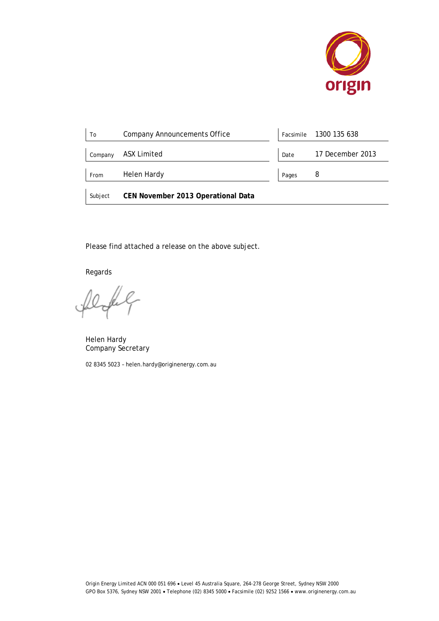

| To      | <b>Company Announcements Office</b> | Facsimile | 1300 135 638     |
|---------|-------------------------------------|-----------|------------------|
| Company | <b>ASX Limited</b>                  | Date      | 17 December 2013 |
| From    | Helen Hardy                         | Pages     | 8                |
| Subject | CEN November 2013 Operational Data  |           |                  |

Please find attached a release on the above subject.

Regards

fel

Helen Hardy Company Secretary

02 8345 5023 – helen.hardy@originenergy.com.au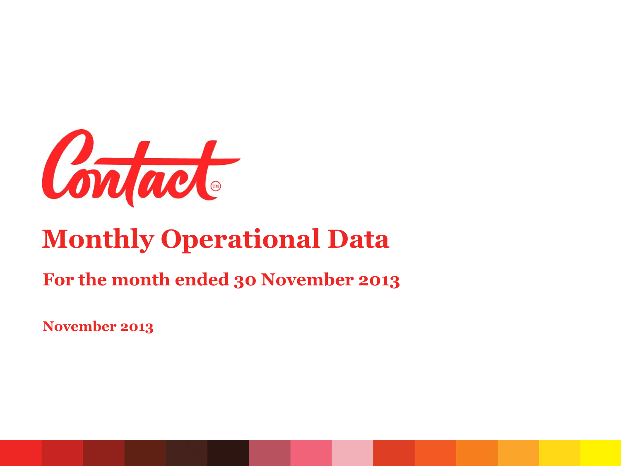

# **Monthly Operational Data**

#### **For the month ended 30 November 2013**

**November 2013**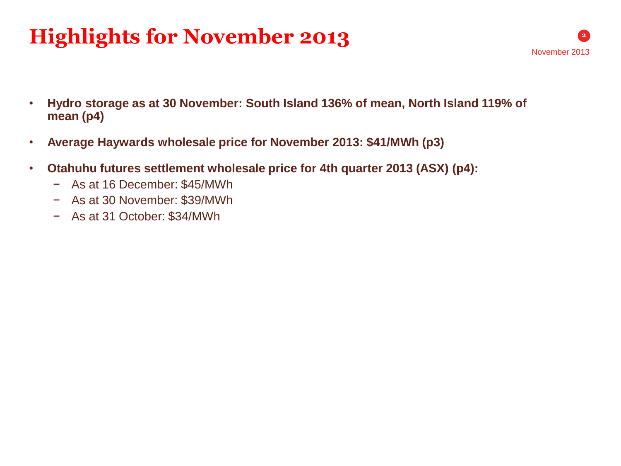## **Highlights for November 2013**

- **Hydro storage as at 30 November: South Island 136% of mean, North Island 119% of mean (p4)**
- **Average Haywards wholesale price for November 2013: \$41/MWh (p3)**
- **Otahuhu futures settlement wholesale price for 4th quarter 2013 (ASX) (p4):**
	- − As at 16 December: \$45/MWh
	- − As at 30 November: \$39/MWh
	- − As at 31 October: \$34/MWh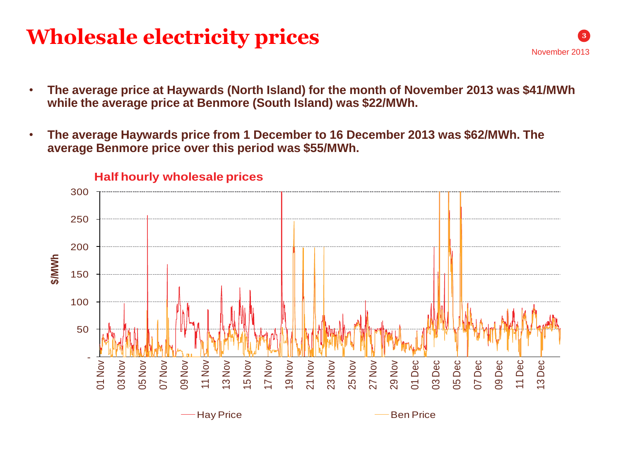### **Wholesale electricity prices**

- **The average price at Haywards (North Island) for the month of November 2013 was \$41/MWh while the average price at Benmore (South Island) was \$22/MWh.**
- **The average Haywards price from 1 December to 16 December 2013 was \$62/MWh. The average Benmore price over this period was \$55/MWh.**



#### **Half hourly wholesale prices**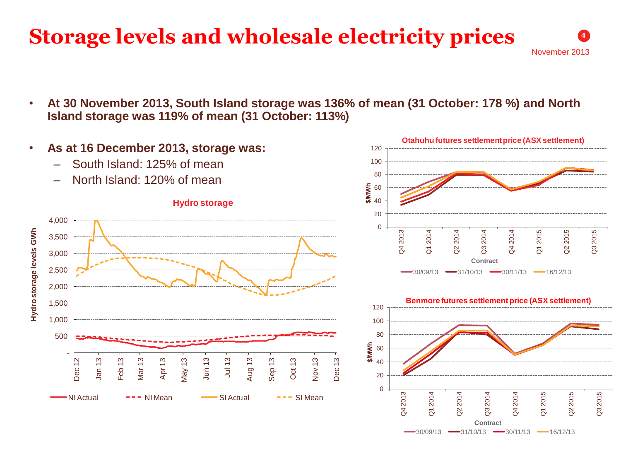### **Storage levels and wholesale electricity prices**

November 2013

**4**

• **At 30 November 2013, South Island storage was 136% of mean (31 October: 178 %) and North Island storage was 119% of mean (31 October: 113%)**





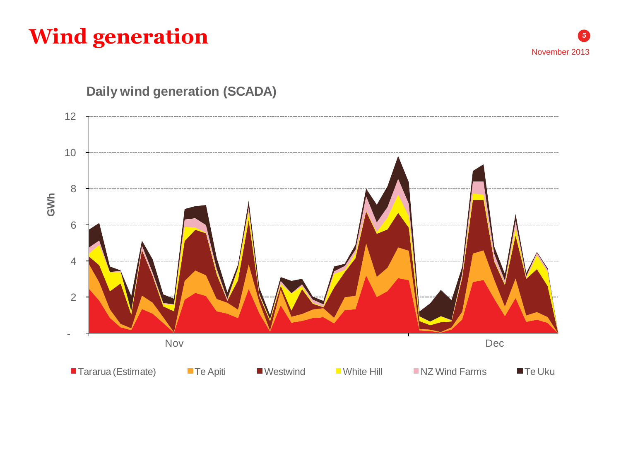## **Wind generation**



November 2013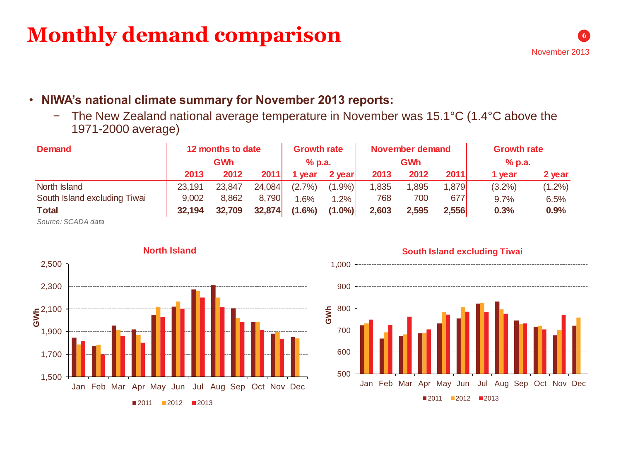#### **Monthly demand comparison**

#### • **NIWA's national climate summary for November 2013 reports:**

− The New Zealand national average temperature in November was 15.1°C (1.4°C above the 1971-2000 average)

| <b>Demand</b>                | 12 months to date<br><b>GWh</b> |        |        | <b>Growth rate</b><br>$%$ p.a. |           | November demand<br><b>GWh</b> |       |       | <b>Growth rate</b><br>$%$ p.a. |           |
|------------------------------|---------------------------------|--------|--------|--------------------------------|-----------|-------------------------------|-------|-------|--------------------------------|-----------|
|                              | 2013                            | 2012   | 2011   | vear                           | 2 year!   | 2013                          | 2012  | 2011  | 1 year                         | 2 year    |
| North Island                 | 23,191                          | 23,847 | 24,084 | (2.7%)                         | $(1.9\%)$ | 1,835                         | .895  | 1,879 | $(3.2\%)$                      | $(1.2\%)$ |
| South Island excluding Tiwai | 9,002                           | 8.862  | 8,790  | $.6\%$                         | 1.2%      | 768                           | 700   | 677   | 9.7%                           | 6.5%      |
| <b>Total</b>                 | 32,194                          | 32,709 | 32,874 | $(1.6\%)$                      | $(1.0\%)$ | 2,603                         | 2,595 | 2,556 | 0.3%                           | 0.9%      |
|                              |                                 |        |        |                                |           |                               |       |       |                                |           |

*Source: SCADA data*



**South Island excluding Tiwai**